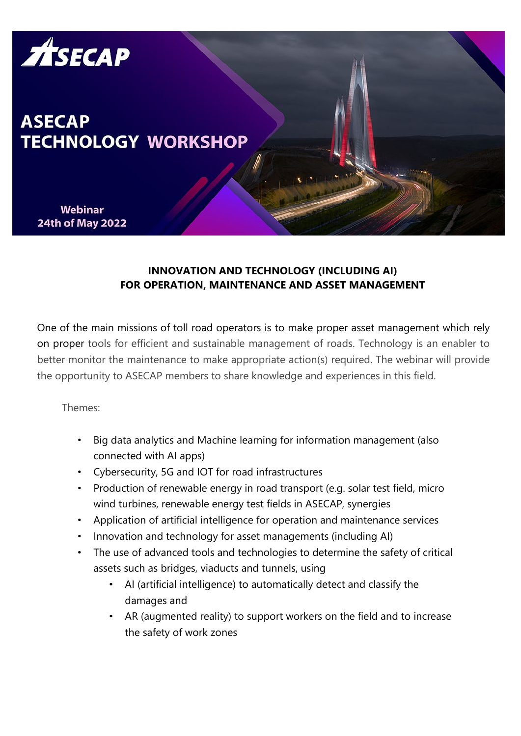

## **INNOVATION AND TECHNOLOGY (INCLUDING AI) FOR OPERATION, MAINTENANCE AND ASSET MANAGEMENT**

One of the main missions of toll road operators is to make proper asset management which rely on proper tools for efficient and sustainable management of roads. Technology is an enabler to better monitor the maintenance to make appropriate action(s) required. The webinar will provide the opportunity to ASECAP members to share knowledge and experiences in this field.

Themes:

- Big data analytics and Machine learning for information management (also connected with AI apps)
- Cybersecurity, 5G and IOT for road infrastructures
- Production of renewable energy in road transport (e.g. solar test field, micro wind turbines, renewable energy test fields in ASECAP, synergies
- Application of artificial intelligence for operation and maintenance services
- Innovation and technology for asset managements (including AI)
- The use of advanced tools and technologies to determine the safety of critical assets such as bridges, viaducts and tunnels, using
	- AI (artificial intelligence) to automatically detect and classify the damages and
	- AR (augmented reality) to support workers on the field and to increase the safety of work zones